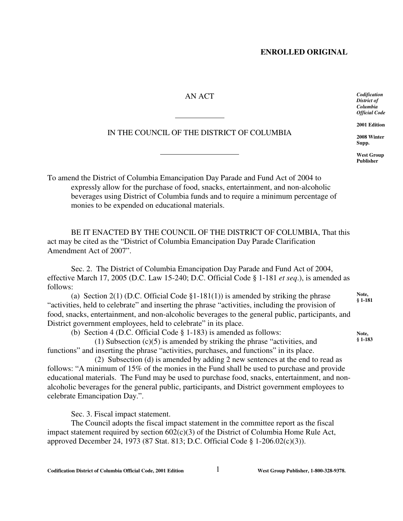## **ENROLLED ORIGINAL**

## AN ACT

IN THE COUNCIL OF THE DISTRICT OF COLUMBIA

l

 $\overline{a}$ 

## *Codification District of Columbia Official Code*

**2001 Edition**

**2008 Winter Supp.**

**West Group Publisher**

**Note, § 1-181**

**Note, § 1-183**

To amend the District of Columbia Emancipation Day Parade and Fund Act of 2004 to expressly allow for the purchase of food, snacks, entertainment, and non-alcoholic beverages using District of Columbia funds and to require a minimum percentage of monies to be expended on educational materials.

BE IT ENACTED BY THE COUNCIL OF THE DISTRICT OF COLUMBIA, That this act may be cited as the "District of Columbia Emancipation Day Parade Clarification Amendment Act of 2007".

Sec. 2. The District of Columbia Emancipation Day Parade and Fund Act of 2004, effective March 17, 2005 (D.C. Law 15-240; D.C. Official Code § 1-181 *et seq*.), is amended as follows:

(a) Section 2(1) (D.C. Official Code  $\S1-181(1)$ ) is amended by striking the phrase "activities, held to celebrate" and inserting the phrase "activities, including the provision of food, snacks, entertainment, and non-alcoholic beverages to the general public, participants, and District government employees, held to celebrate" in its place.

(b) Section 4 (D.C. Official Code § 1-183) is amended as follows:

(1) Subsection  $(c)(5)$  is amended by striking the phrase "activities, and functions" and inserting the phrase "activities, purchases, and functions" in its place.

(2) Subsection (d) is amended by adding 2 new sentences at the end to read as follows: "A minimum of 15% of the monies in the Fund shall be used to purchase and provide educational materials. The Fund may be used to purchase food, snacks, entertainment, and nonalcoholic beverages for the general public, participants, and District government employees to celebrate Emancipation Day.".

Sec. 3. Fiscal impact statement.

The Council adopts the fiscal impact statement in the committee report as the fiscal impact statement required by section 602(c)(3) of the District of Columbia Home Rule Act, approved December 24, 1973 (87 Stat. 813; D.C. Official Code § 1-206.02(c)(3)).